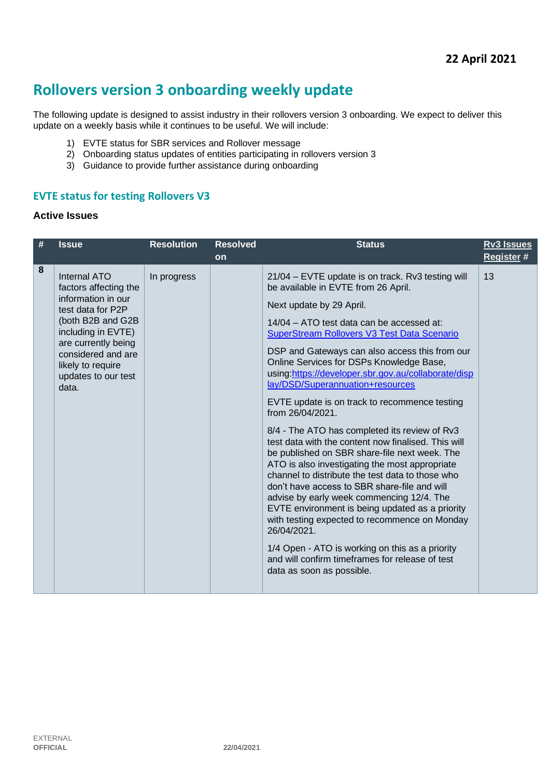# **Rollovers version 3 onboarding weekly update**

The following update is designed to assist industry in their rollovers version 3 onboarding. We expect to deliver this update on a weekly basis while it continues to be useful. We will include:

- 1) EVTE status for SBR services and Rollover message
- 2) Onboarding status updates of entities participating in rollovers version 3
- 3) Guidance to provide further assistance during onboarding

## **EVTE status for testing Rollovers V3**

#### **Active Issues**

| # | <b>Issue</b>                                                                                                                                                                                                                  | <b>Resolution</b> | <b>Resolved</b> | <b>Status</b>                                                                                                                                                                                                                                                                                                                                                                                                                                                                                                                                                                                                                                                                                                                                                                                                                                                                                                                                                                                                                                                                                           | <b>Rv3 Issues</b> |
|---|-------------------------------------------------------------------------------------------------------------------------------------------------------------------------------------------------------------------------------|-------------------|-----------------|---------------------------------------------------------------------------------------------------------------------------------------------------------------------------------------------------------------------------------------------------------------------------------------------------------------------------------------------------------------------------------------------------------------------------------------------------------------------------------------------------------------------------------------------------------------------------------------------------------------------------------------------------------------------------------------------------------------------------------------------------------------------------------------------------------------------------------------------------------------------------------------------------------------------------------------------------------------------------------------------------------------------------------------------------------------------------------------------------------|-------------------|
|   |                                                                                                                                                                                                                               |                   | on              |                                                                                                                                                                                                                                                                                                                                                                                                                                                                                                                                                                                                                                                                                                                                                                                                                                                                                                                                                                                                                                                                                                         | Register#         |
| 8 | Internal ATO<br>factors affecting the<br>information in our<br>test data for P2P<br>(both B2B and G2B<br>including in EVTE)<br>are currently being<br>considered and are<br>likely to require<br>updates to our test<br>data. | In progress       |                 | 21/04 – EVTE update is on track. Rv3 testing will<br>be available in EVTE from 26 April.<br>Next update by 29 April.<br>14/04 – ATO test data can be accessed at:<br><b>SuperStream Rollovers V3 Test Data Scenario</b><br>DSP and Gateways can also access this from our<br>Online Services for DSPs Knowledge Base,<br>using:https://developer.sbr.gov.au/collaborate/disp<br>lay/DSD/Superannuation+resources<br>EVTE update is on track to recommence testing<br>from 26/04/2021.<br>8/4 - The ATO has completed its review of Rv3<br>test data with the content now finalised. This will<br>be published on SBR share-file next week. The<br>ATO is also investigating the most appropriate<br>channel to distribute the test data to those who<br>don't have access to SBR share-file and will<br>advise by early week commencing 12/4. The<br>EVTE environment is being updated as a priority<br>with testing expected to recommence on Monday<br>26/04/2021.<br>1/4 Open - ATO is working on this as a priority<br>and will confirm timeframes for release of test<br>data as soon as possible. | 13                |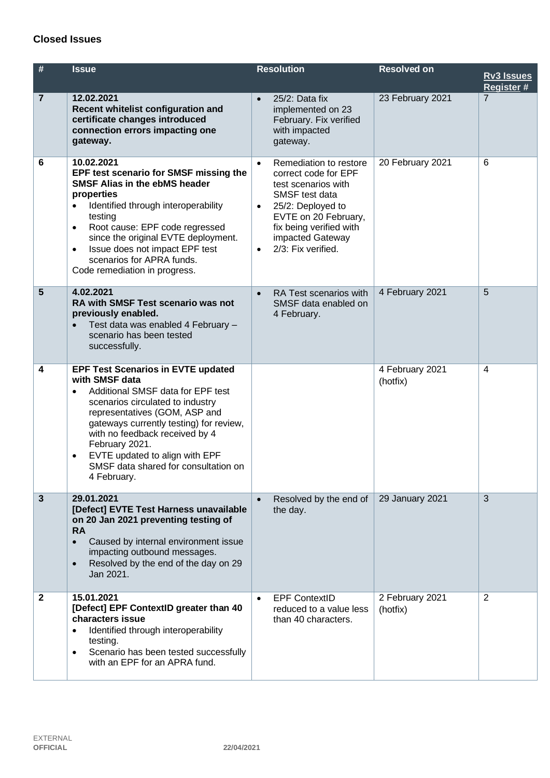## **Closed Issues**

| #              | <b>Issue</b>                                                                                                                                                                                                                                                                                                                                                                 | <b>Resolution</b>                                                                                                                                                                                                                                | <b>Resolved on</b>          | <b>Rv3 Issues</b><br>Register # |
|----------------|------------------------------------------------------------------------------------------------------------------------------------------------------------------------------------------------------------------------------------------------------------------------------------------------------------------------------------------------------------------------------|--------------------------------------------------------------------------------------------------------------------------------------------------------------------------------------------------------------------------------------------------|-----------------------------|---------------------------------|
| $\overline{7}$ | 12.02.2021<br>Recent whitelist configuration and<br>certificate changes introduced<br>connection errors impacting one<br>gateway.                                                                                                                                                                                                                                            | 25/2: Data fix<br>$\bullet$<br>implemented on 23<br>February. Fix verified<br>with impacted<br>gateway.                                                                                                                                          | 23 February 2021            | $\overline{7}$                  |
| 6              | 10.02.2021<br>EPF test scenario for SMSF missing the<br><b>SMSF Alias in the ebMS header</b><br>properties<br>Identified through interoperability<br>$\bullet$<br>testing<br>Root cause: EPF code regressed<br>$\bullet$<br>since the original EVTE deployment.<br>Issue does not impact EPF test<br>$\bullet$<br>scenarios for APRA funds.<br>Code remediation in progress. | Remediation to restore<br>$\bullet$<br>correct code for EPF<br>test scenarios with<br>SMSF test data<br>25/2: Deployed to<br>$\bullet$<br>EVTE on 20 February,<br>fix being verified with<br>impacted Gateway<br>2/3: Fix verified.<br>$\bullet$ | 20 February 2021            | 6                               |
| 5              | 4.02.2021<br>RA with SMSF Test scenario was not<br>previously enabled.<br>Test data was enabled 4 February -<br>scenario has been tested<br>successfully.                                                                                                                                                                                                                    | RA Test scenarios with<br>$\bullet$<br>SMSF data enabled on<br>4 February.                                                                                                                                                                       | 4 February 2021             | 5                               |
| 4              | <b>EPF Test Scenarios in EVTE updated</b><br>with SMSF data<br>Additional SMSF data for EPF test<br>scenarios circulated to industry<br>representatives (GOM, ASP and<br>gateways currently testing) for review,<br>with no feedback received by 4<br>February 2021.<br>EVTE updated to align with EPF<br>$\bullet$<br>SMSF data shared for consultation on<br>4 February.   |                                                                                                                                                                                                                                                  | 4 February 2021<br>(hotfix) | $\overline{4}$                  |
| $\mathbf{3}$   | 29.01.2021<br>[Defect] EVTE Test Harness unavailable<br>on 20 Jan 2021 preventing testing of<br><b>RA</b><br>Caused by internal environment issue<br>$\bullet$<br>impacting outbound messages.<br>Resolved by the end of the day on 29<br>$\bullet$<br>Jan 2021.                                                                                                             | Resolved by the end of<br>$\bullet$<br>the day.                                                                                                                                                                                                  | 29 January 2021             | 3                               |
| $\mathbf{2}$   | 15.01.2021<br>[Defect] EPF ContextID greater than 40<br>characters issue<br>Identified through interoperability<br>testing.<br>Scenario has been tested successfully<br>٠<br>with an EPF for an APRA fund.                                                                                                                                                                   | <b>EPF ContextID</b><br>$\bullet$<br>reduced to a value less<br>than 40 characters.                                                                                                                                                              | 2 February 2021<br>(hotfix) | 2                               |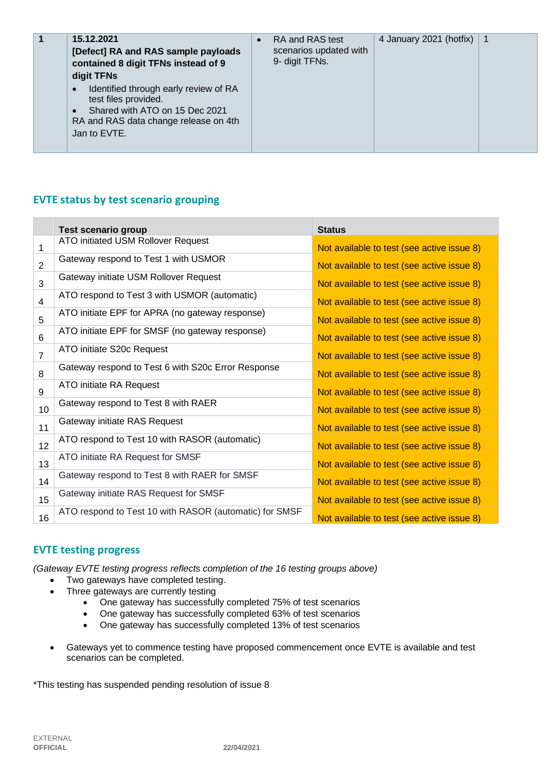| 15.12.2021<br>1<br>[Defect] RA and RAS sample payloads<br>contained 8 digit TFNs instead of 9<br>digit TFNs<br>Identified through early review of RA<br>$\bullet$<br>test files provided.<br>Shared with ATO on 15 Dec 2021<br>$\bullet$<br>RA and RAS data change release on 4th<br>Jan to EVTE. | $\bullet$ | RA and RAS test<br>scenarios updated with<br>9- digit TFNs. | 4 January 2021 (hotfix) | $\overline{\mathbf{1}}$ |
|---------------------------------------------------------------------------------------------------------------------------------------------------------------------------------------------------------------------------------------------------------------------------------------------------|-----------|-------------------------------------------------------------|-------------------------|-------------------------|
|---------------------------------------------------------------------------------------------------------------------------------------------------------------------------------------------------------------------------------------------------------------------------------------------------|-----------|-------------------------------------------------------------|-------------------------|-------------------------|

## **EVTE status by test scenario grouping**

|                 | <b>Test scenario group</b>                             | <b>Status</b>                              |
|-----------------|--------------------------------------------------------|--------------------------------------------|
| 1               | ATO initiated USM Rollover Request                     | Not available to test (see active issue 8) |
| $\overline{2}$  | Gateway respond to Test 1 with USMOR                   | Not available to test (see active issue 8) |
| 3               | Gateway initiate USM Rollover Request                  | Not available to test (see active issue 8) |
| 4               | ATO respond to Test 3 with USMOR (automatic)           | Not available to test (see active issue 8) |
| 5               | ATO initiate EPF for APRA (no gateway response)        | Not available to test (see active issue 8) |
| 6               | ATO initiate EPF for SMSF (no gateway response)        | Not available to test (see active issue 8) |
| $\overline{7}$  | ATO initiate S20c Request                              | Not available to test (see active issue 8) |
| 8               | Gateway respond to Test 6 with S20c Error Response     | Not available to test (see active issue 8) |
| 9               | ATO initiate RA Request                                | Not available to test (see active issue 8) |
| 10 <sup>1</sup> | Gateway respond to Test 8 with RAER                    | Not available to test (see active issue 8) |
| 11              | Gateway initiate RAS Request                           | Not available to test (see active issue 8) |
| 12              | ATO respond to Test 10 with RASOR (automatic)          | Not available to test (see active issue 8) |
| 13              | ATO initiate RA Request for SMSF                       | Not available to test (see active issue 8) |
| 14              | Gateway respond to Test 8 with RAER for SMSF           | Not available to test (see active issue 8) |
| 15              | Gateway initiate RAS Request for SMSF                  | Not available to test (see active issue 8) |
| 16              | ATO respond to Test 10 with RASOR (automatic) for SMSF | Not available to test (see active issue 8) |

### **EVTE testing progress**

*(Gateway EVTE testing progress reflects completion of the 16 testing groups above)*

- Two gateways have completed testing.
- Three gateways are currently testing
	- One gateway has successfully completed 75% of test scenarios
	- One gateway has successfully completed 63% of test scenarios
	- One gateway has successfully completed 13% of test scenarios
- Gateways yet to commence testing have proposed commencement once EVTE is available and test scenarios can be completed.

\*This testing has suspended pending resolution of issue 8